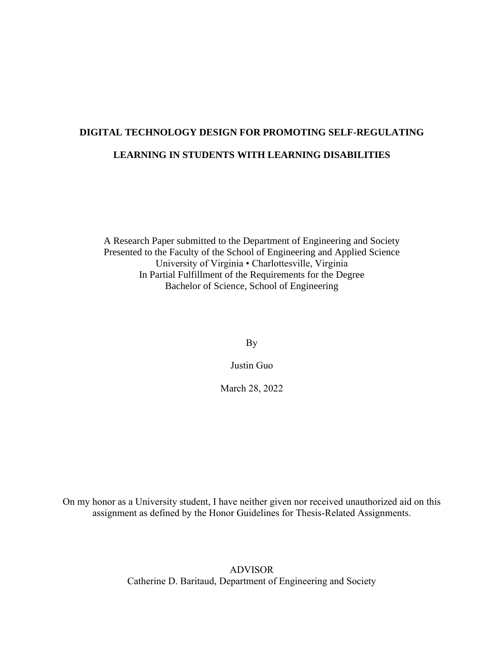# **DIGITAL TECHNOLOGY DESIGN FOR PROMOTING SELF-REGULATING LEARNING IN STUDENTS WITH LEARNING DISABILITIES**

A Research Paper submitted to the Department of Engineering and Society Presented to the Faculty of the School of Engineering and Applied Science University of Virginia • Charlottesville, Virginia In Partial Fulfillment of the Requirements for the Degree Bachelor of Science, School of Engineering

By

Justin Guo

March 28, 2022

On my honor as a University student, I have neither given nor received unauthorized aid on this assignment as defined by the Honor Guidelines for Thesis-Related Assignments.

> ADVISOR Catherine D. Baritaud, Department of Engineering and Society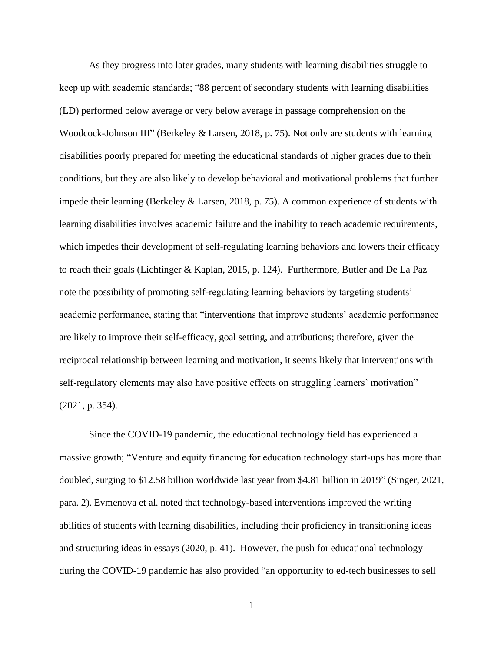As they progress into later grades, many students with learning disabilities struggle to keep up with academic standards; "88 percent of secondary students with learning disabilities (LD) performed below average or very below average in passage comprehension on the Woodcock-Johnson III" (Berkeley & Larsen, 2018, p. 75). Not only are students with learning disabilities poorly prepared for meeting the educational standards of higher grades due to their conditions, but they are also likely to develop behavioral and motivational problems that further impede their learning (Berkeley & Larsen, 2018, p. 75). A common experience of students with learning disabilities involves academic failure and the inability to reach academic requirements, which impedes their development of self-regulating learning behaviors and lowers their efficacy to reach their goals (Lichtinger & Kaplan, 2015, p. 124). Furthermore, Butler and De La Paz note the possibility of promoting self-regulating learning behaviors by targeting students' academic performance, stating that "interventions that improve students' academic performance are likely to improve their self-efficacy, goal setting, and attributions; therefore, given the reciprocal relationship between learning and motivation, it seems likely that interventions with self-regulatory elements may also have positive effects on struggling learners' motivation" (2021, p. 354).

Since the COVID-19 pandemic, the educational technology field has experienced a massive growth; "Venture and equity financing for education technology start-ups has more than doubled, surging to \$12.58 billion worldwide last year from \$4.81 billion in 2019" (Singer, 2021, para. 2). Evmenova et al. noted that technology-based interventions improved the writing abilities of students with learning disabilities, including their proficiency in transitioning ideas and structuring ideas in essays (2020, p. 41). However, the push for educational technology during the COVID-19 pandemic has also provided "an opportunity to ed-tech businesses to sell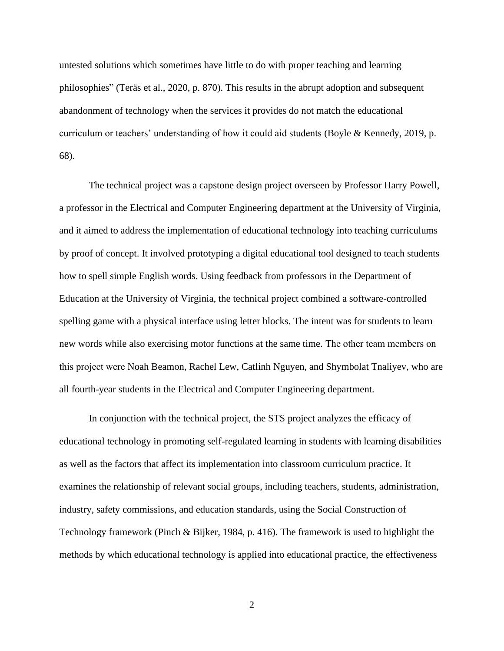untested solutions which sometimes have little to do with proper teaching and learning philosophies" (Teräs et al., 2020, p. 870). This results in the abrupt adoption and subsequent abandonment of technology when the services it provides do not match the educational curriculum or teachers' understanding of how it could aid students (Boyle & Kennedy, 2019, p. 68).

The technical project was a capstone design project overseen by Professor Harry Powell, a professor in the Electrical and Computer Engineering department at the University of Virginia, and it aimed to address the implementation of educational technology into teaching curriculums by proof of concept. It involved prototyping a digital educational tool designed to teach students how to spell simple English words. Using feedback from professors in the Department of Education at the University of Virginia, the technical project combined a software-controlled spelling game with a physical interface using letter blocks. The intent was for students to learn new words while also exercising motor functions at the same time. The other team members on this project were Noah Beamon, Rachel Lew, Catlinh Nguyen, and Shymbolat Tnaliyev, who are all fourth-year students in the Electrical and Computer Engineering department.

In conjunction with the technical project, the STS project analyzes the efficacy of educational technology in promoting self-regulated learning in students with learning disabilities as well as the factors that affect its implementation into classroom curriculum practice. It examines the relationship of relevant social groups, including teachers, students, administration, industry, safety commissions, and education standards, using the Social Construction of Technology framework (Pinch & Bijker, 1984, p. 416). The framework is used to highlight the methods by which educational technology is applied into educational practice, the effectiveness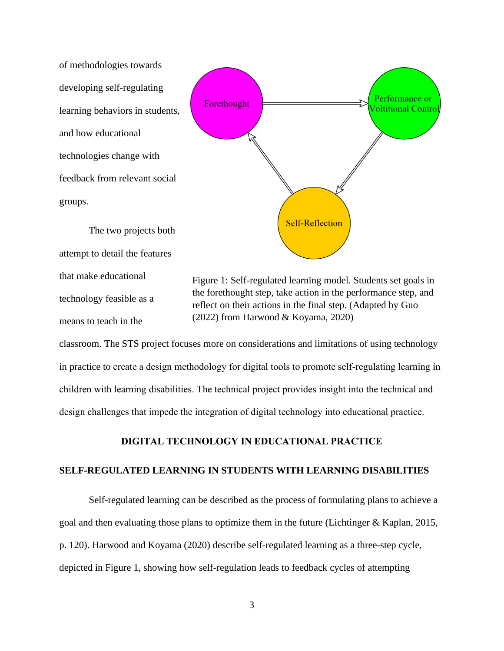of methodologies towards developing self-regulating learning behaviors in students, and how educational technologies change with feedback from relevant social groups.

The two projects both attempt to detail the features that make educational technology feasible as a means to teach in the



Figure 1: Self-regulated learning model. Students set goals in the forethought step, take action in the performance step, and reflect on their actions in the final step. (Adapted by Guo (2022) from Harwood & Koyama, 2020)

classroom. The STS project focuses more on considerations and limitations of using technology in practice to create a design methodology for digital tools to promote self-regulating learning in children with learning disabilities. The technical project provides insight into the technical and design challenges that impede the integration of digital technology into educational practice.

### **DIGITAL TECHNOLOGY IN EDUCATIONAL PRACTICE**

## **SELF-REGULATED LEARNING IN STUDENTS WITH LEARNING DISABILITIES**

Self-regulated learning can be described as the process of formulating plans to achieve a goal and then evaluating those plans to optimize them in the future (Lichtinger & Kaplan, 2015, p. 120). Harwood and Koyama (2020) describe self-regulated learning as a three-step cycle, depicted in Figure 1, showing how self-regulation leads to feedback cycles of attempting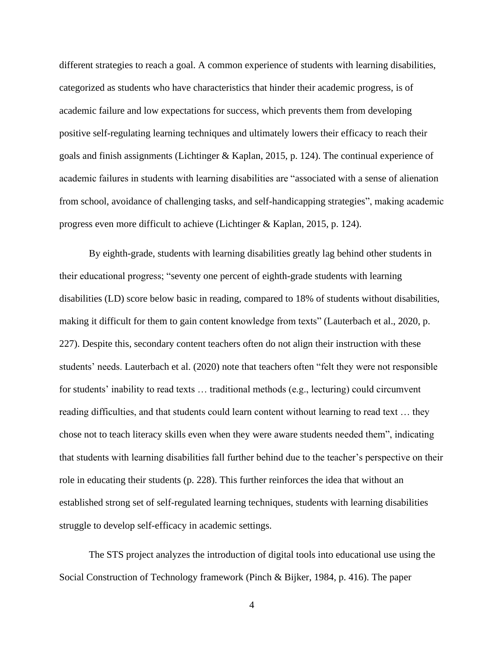different strategies to reach a goal. A common experience of students with learning disabilities, categorized as students who have characteristics that hinder their academic progress, is of academic failure and low expectations for success, which prevents them from developing positive self-regulating learning techniques and ultimately lowers their efficacy to reach their goals and finish assignments (Lichtinger & Kaplan, 2015, p. 124). The continual experience of academic failures in students with learning disabilities are "associated with a sense of alienation from school, avoidance of challenging tasks, and self-handicapping strategies", making academic progress even more difficult to achieve (Lichtinger & Kaplan, 2015, p. 124).

By eighth-grade, students with learning disabilities greatly lag behind other students in their educational progress; "seventy one percent of eighth-grade students with learning disabilities (LD) score below basic in reading, compared to 18% of students without disabilities, making it difficult for them to gain content knowledge from texts" (Lauterbach et al., 2020, p. 227). Despite this, secondary content teachers often do not align their instruction with these students' needs. Lauterbach et al. (2020) note that teachers often "felt they were not responsible for students' inability to read texts … traditional methods (e.g., lecturing) could circumvent reading difficulties, and that students could learn content without learning to read text … they chose not to teach literacy skills even when they were aware students needed them", indicating that students with learning disabilities fall further behind due to the teacher's perspective on their role in educating their students (p. 228). This further reinforces the idea that without an established strong set of self-regulated learning techniques, students with learning disabilities struggle to develop self-efficacy in academic settings.

The STS project analyzes the introduction of digital tools into educational use using the Social Construction of Technology framework (Pinch & Bijker, 1984, p. 416). The paper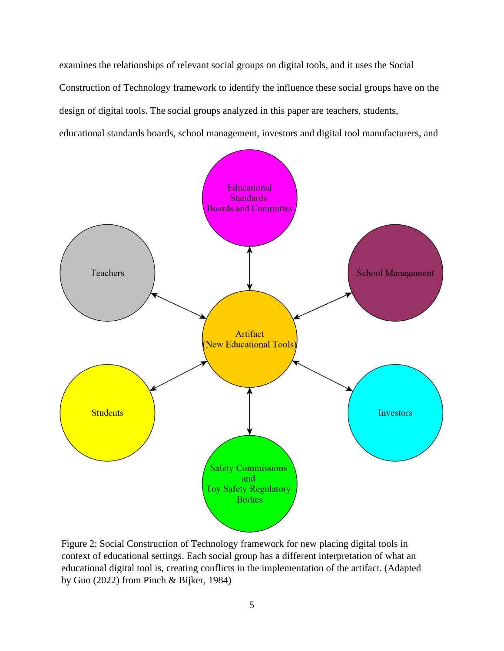examines the relationships of relevant social groups on digital tools, and it uses the Social Construction of Technology framework to identify the influence these social groups have on the design of digital tools. The social groups analyzed in this paper are teachers, students, educational standards boards, school management, investors and digital tool manufacturers, and



Figure 2: Social Construction of Technology framework for new placing digital tools in context of educational settings. Each social group has a different interpretation of what an educational digital tool is, creating conflicts in the implementation of the artifact. (Adapted by Guo (2022) from Pinch & Bijker, 1984)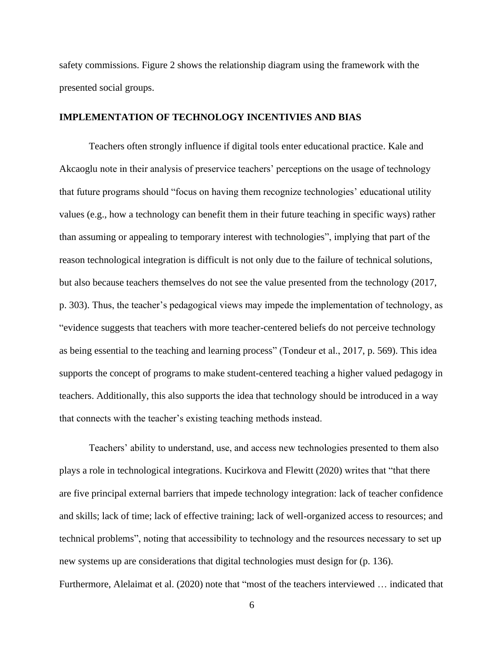safety commissions. Figure 2 shows the relationship diagram using the framework with the presented social groups.

#### **IMPLEMENTATION OF TECHNOLOGY INCENTIVIES AND BIAS**

Teachers often strongly influence if digital tools enter educational practice. Kale and Akcaoglu note in their analysis of preservice teachers' perceptions on the usage of technology that future programs should "focus on having them recognize technologies' educational utility values (e.g., how a technology can benefit them in their future teaching in specific ways) rather than assuming or appealing to temporary interest with technologies", implying that part of the reason technological integration is difficult is not only due to the failure of technical solutions, but also because teachers themselves do not see the value presented from the technology (2017, p. 303). Thus, the teacher's pedagogical views may impede the implementation of technology, as "evidence suggests that teachers with more teacher-centered beliefs do not perceive technology as being essential to the teaching and learning process" (Tondeur et al., 2017, p. 569). This idea supports the concept of programs to make student-centered teaching a higher valued pedagogy in teachers. Additionally, this also supports the idea that technology should be introduced in a way that connects with the teacher's existing teaching methods instead.

Teachers' ability to understand, use, and access new technologies presented to them also plays a role in technological integrations. Kucirkova and Flewitt (2020) writes that "that there are five principal external barriers that impede technology integration: lack of teacher confidence and skills; lack of time; lack of effective training; lack of well-organized access to resources; and technical problems", noting that accessibility to technology and the resources necessary to set up new systems up are considerations that digital technologies must design for (p. 136). Furthermore, Alelaimat et al. (2020) note that "most of the teachers interviewed … indicated that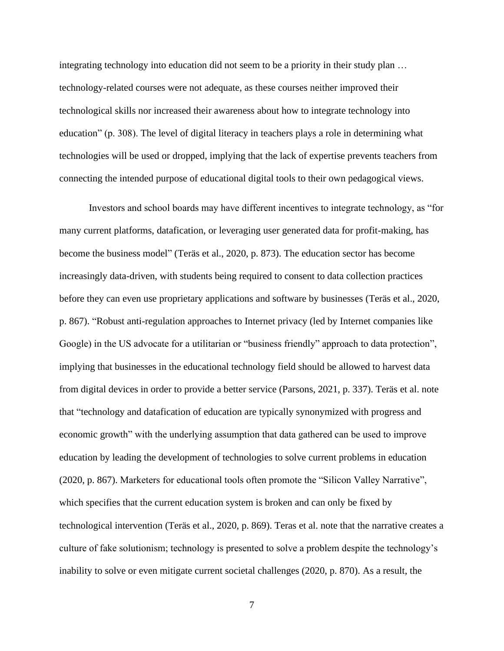integrating technology into education did not seem to be a priority in their study plan … technology-related courses were not adequate, as these courses neither improved their technological skills nor increased their awareness about how to integrate technology into education" (p. 308). The level of digital literacy in teachers plays a role in determining what technologies will be used or dropped, implying that the lack of expertise prevents teachers from connecting the intended purpose of educational digital tools to their own pedagogical views.

Investors and school boards may have different incentives to integrate technology, as "for many current platforms, datafication, or leveraging user generated data for profit-making, has become the business model" (Teräs et al., 2020, p. 873). The education sector has become increasingly data-driven, with students being required to consent to data collection practices before they can even use proprietary applications and software by businesses (Teräs et al., 2020, p. 867). "Robust anti-regulation approaches to Internet privacy (led by Internet companies like Google) in the US advocate for a utilitarian or "business friendly" approach to data protection", implying that businesses in the educational technology field should be allowed to harvest data from digital devices in order to provide a better service (Parsons, 2021, p. 337). Teräs et al. note that "technology and datafication of education are typically synonymized with progress and economic growth" with the underlying assumption that data gathered can be used to improve education by leading the development of technologies to solve current problems in education (2020, p. 867). Marketers for educational tools often promote the "Silicon Valley Narrative", which specifies that the current education system is broken and can only be fixed by technological intervention (Teräs et al., 2020, p. 869). Teras et al. note that the narrative creates a culture of fake solutionism; technology is presented to solve a problem despite the technology's inability to solve or even mitigate current societal challenges (2020, p. 870). As a result, the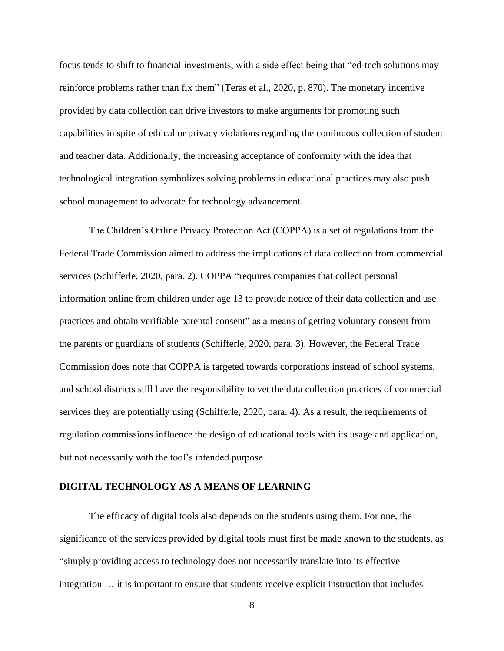focus tends to shift to financial investments, with a side effect being that "ed-tech solutions may reinforce problems rather than fix them" (Teräs et al., 2020, p. 870). The monetary incentive provided by data collection can drive investors to make arguments for promoting such capabilities in spite of ethical or privacy violations regarding the continuous collection of student and teacher data. Additionally, the increasing acceptance of conformity with the idea that technological integration symbolizes solving problems in educational practices may also push school management to advocate for technology advancement.

The Children's Online Privacy Protection Act (COPPA) is a set of regulations from the Federal Trade Commission aimed to address the implications of data collection from commercial services (Schifferle, 2020, para. 2). COPPA "requires companies that collect personal information online from children under age 13 to provide notice of their data collection and use practices and obtain verifiable parental consent" as a means of getting voluntary consent from the parents or guardians of students (Schifferle, 2020, para. 3). However, the Federal Trade Commission does note that COPPA is targeted towards corporations instead of school systems, and school districts still have the responsibility to vet the data collection practices of commercial services they are potentially using (Schifferle, 2020, para. 4). As a result, the requirements of regulation commissions influence the design of educational tools with its usage and application, but not necessarily with the tool's intended purpose.

#### **DIGITAL TECHNOLOGY AS A MEANS OF LEARNING**

The efficacy of digital tools also depends on the students using them. For one, the significance of the services provided by digital tools must first be made known to the students, as "simply providing access to technology does not necessarily translate into its effective integration … it is important to ensure that students receive explicit instruction that includes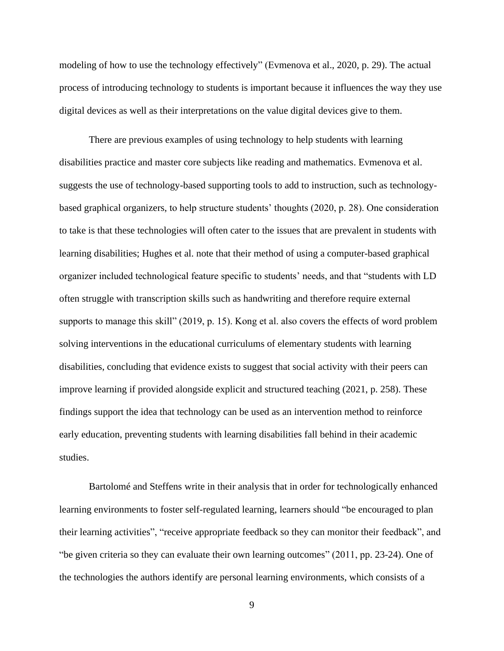modeling of how to use the technology effectively" (Evmenova et al., 2020, p. 29). The actual process of introducing technology to students is important because it influences the way they use digital devices as well as their interpretations on the value digital devices give to them.

There are previous examples of using technology to help students with learning disabilities practice and master core subjects like reading and mathematics. Evmenova et al. suggests the use of technology-based supporting tools to add to instruction, such as technologybased graphical organizers, to help structure students' thoughts (2020, p. 28). One consideration to take is that these technologies will often cater to the issues that are prevalent in students with learning disabilities; Hughes et al. note that their method of using a computer-based graphical organizer included technological feature specific to students' needs, and that "students with LD often struggle with transcription skills such as handwriting and therefore require external supports to manage this skill" (2019, p. 15). Kong et al. also covers the effects of word problem solving interventions in the educational curriculums of elementary students with learning disabilities, concluding that evidence exists to suggest that social activity with their peers can improve learning if provided alongside explicit and structured teaching (2021, p. 258). These findings support the idea that technology can be used as an intervention method to reinforce early education, preventing students with learning disabilities fall behind in their academic studies.

Bartolomé and Steffens write in their analysis that in order for technologically enhanced learning environments to foster self-regulated learning, learners should "be encouraged to plan their learning activities", "receive appropriate feedback so they can monitor their feedback", and "be given criteria so they can evaluate their own learning outcomes" (2011, pp. 23-24). One of the technologies the authors identify are personal learning environments, which consists of a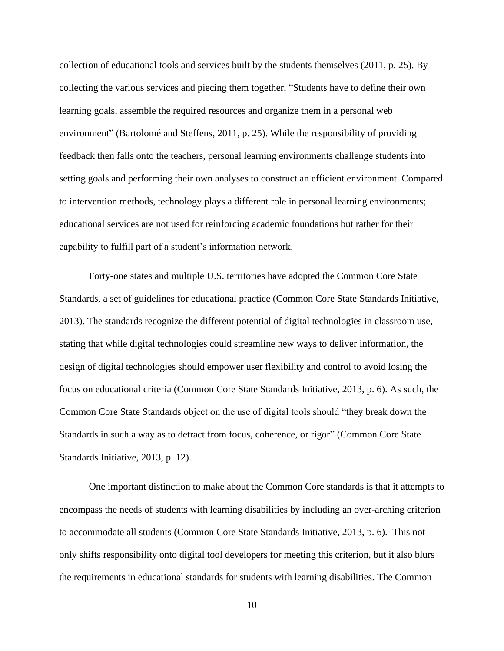collection of educational tools and services built by the students themselves (2011, p. 25). By collecting the various services and piecing them together, "Students have to define their own learning goals, assemble the required resources and organize them in a personal web environment" (Bartolomé and Steffens, 2011, p. 25). While the responsibility of providing feedback then falls onto the teachers, personal learning environments challenge students into setting goals and performing their own analyses to construct an efficient environment. Compared to intervention methods, technology plays a different role in personal learning environments; educational services are not used for reinforcing academic foundations but rather for their capability to fulfill part of a student's information network.

Forty-one states and multiple U.S. territories have adopted the Common Core State Standards, a set of guidelines for educational practice (Common Core State Standards Initiative, 2013). The standards recognize the different potential of digital technologies in classroom use, stating that while digital technologies could streamline new ways to deliver information, the design of digital technologies should empower user flexibility and control to avoid losing the focus on educational criteria (Common Core State Standards Initiative, 2013, p. 6). As such, the Common Core State Standards object on the use of digital tools should "they break down the Standards in such a way as to detract from focus, coherence, or rigor" (Common Core State Standards Initiative, 2013, p. 12).

One important distinction to make about the Common Core standards is that it attempts to encompass the needs of students with learning disabilities by including an over-arching criterion to accommodate all students (Common Core State Standards Initiative, 2013, p. 6). This not only shifts responsibility onto digital tool developers for meeting this criterion, but it also blurs the requirements in educational standards for students with learning disabilities. The Common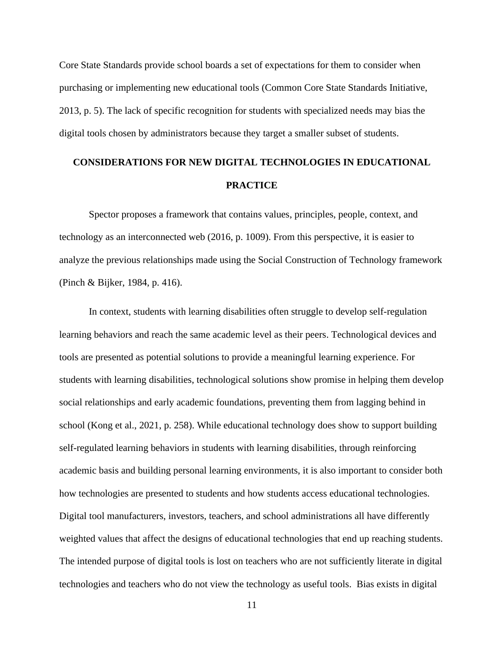Core State Standards provide school boards a set of expectations for them to consider when purchasing or implementing new educational tools (Common Core State Standards Initiative, 2013, p. 5). The lack of specific recognition for students with specialized needs may bias the digital tools chosen by administrators because they target a smaller subset of students.

# **CONSIDERATIONS FOR NEW DIGITAL TECHNOLOGIES IN EDUCATIONAL PRACTICE**

Spector proposes a framework that contains values, principles, people, context, and technology as an interconnected web (2016, p. 1009). From this perspective, it is easier to analyze the previous relationships made using the Social Construction of Technology framework (Pinch & Bijker, 1984, p. 416).

In context, students with learning disabilities often struggle to develop self-regulation learning behaviors and reach the same academic level as their peers. Technological devices and tools are presented as potential solutions to provide a meaningful learning experience. For students with learning disabilities, technological solutions show promise in helping them develop social relationships and early academic foundations, preventing them from lagging behind in school (Kong et al., 2021, p. 258). While educational technology does show to support building self-regulated learning behaviors in students with learning disabilities, through reinforcing academic basis and building personal learning environments, it is also important to consider both how technologies are presented to students and how students access educational technologies. Digital tool manufacturers, investors, teachers, and school administrations all have differently weighted values that affect the designs of educational technologies that end up reaching students. The intended purpose of digital tools is lost on teachers who are not sufficiently literate in digital technologies and teachers who do not view the technology as useful tools. Bias exists in digital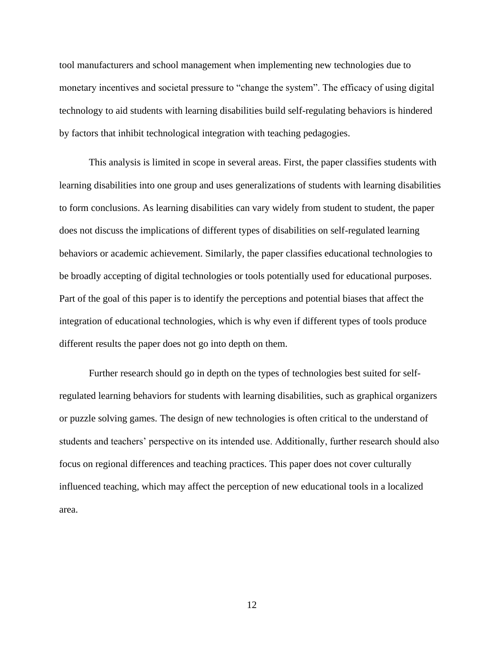tool manufacturers and school management when implementing new technologies due to monetary incentives and societal pressure to "change the system". The efficacy of using digital technology to aid students with learning disabilities build self-regulating behaviors is hindered by factors that inhibit technological integration with teaching pedagogies.

This analysis is limited in scope in several areas. First, the paper classifies students with learning disabilities into one group and uses generalizations of students with learning disabilities to form conclusions. As learning disabilities can vary widely from student to student, the paper does not discuss the implications of different types of disabilities on self-regulated learning behaviors or academic achievement. Similarly, the paper classifies educational technologies to be broadly accepting of digital technologies or tools potentially used for educational purposes. Part of the goal of this paper is to identify the perceptions and potential biases that affect the integration of educational technologies, which is why even if different types of tools produce different results the paper does not go into depth on them.

Further research should go in depth on the types of technologies best suited for selfregulated learning behaviors for students with learning disabilities, such as graphical organizers or puzzle solving games. The design of new technologies is often critical to the understand of students and teachers' perspective on its intended use. Additionally, further research should also focus on regional differences and teaching practices. This paper does not cover culturally influenced teaching, which may affect the perception of new educational tools in a localized area.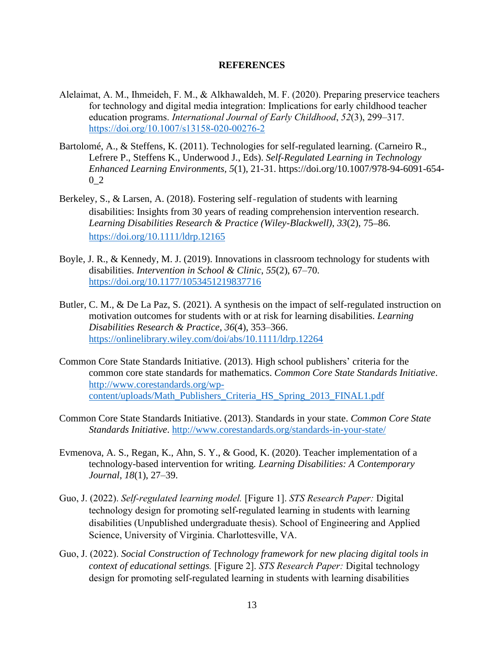#### **REFERENCES**

- Alelaimat, A. M., Ihmeideh, F. M., & Alkhawaldeh, M. F. (2020). Preparing preservice teachers for technology and digital media integration: Implications for early childhood teacher education programs. *International Journal of Early Childhood*, *52*(3), 299–317. <https://doi.org/10.1007/s13158-020-00276-2>
- Bartolomé, A., & Steffens, K. (2011). Technologies for self-regulated learning. (Carneiro R., Lefrere P., Steffens K., Underwood J., Eds). *Self-Regulated Learning in Technology Enhanced Learning Environments, 5*(1), 21-31. https://doi.org/10.1007/978-94-6091-654- 0\_2
- Berkeley, S., & Larsen, A. (2018). Fostering self-regulation of students with learning disabilities: Insights from 30 years of reading comprehension intervention research. *Learning Disabilities Research & Practice (Wiley-Blackwell)*, *33*(2), 75–86. <https://doi.org/10.1111/ldrp.12165>
- Boyle, J. R., & Kennedy, M. J. (2019). Innovations in classroom technology for students with disabilities. *Intervention in School & Clinic*, *55*(2), 67–70. <https://doi.org/10.1177/1053451219837716>
- Butler, C. M., & De La Paz, S. (2021). A synthesis on the impact of self-regulated instruction on motivation outcomes for students with or at risk for learning disabilities. *Learning Disabilities Research & Practice*, *36*(4), 353–366. <https://onlinelibrary.wiley.com/doi/abs/10.1111/ldrp.12264>
- Common Core State Standards Initiative. (2013). High school publishers' criteria for the common core state standards for mathematics. *Common Core State Standards Initiative*. [http://www.corestandards.org/wp](http://www.corestandards.org/wp-content/uploads/Math_Publishers_Criteria_HS_Spring_2013_FINAL1.pdf)[content/uploads/Math\\_Publishers\\_Criteria\\_HS\\_Spring\\_2013\\_FINAL1.pdf](http://www.corestandards.org/wp-content/uploads/Math_Publishers_Criteria_HS_Spring_2013_FINAL1.pdf)
- Common Core State Standards Initiative. (2013). Standards in your state. *Common Core State Standards Initiative*.<http://www.corestandards.org/standards-in-your-state/>
- Evmenova, A. S., Regan, K., Ahn, S. Y., & Good, K. (2020). Teacher implementation of a technology-based intervention for writing*. Learning Disabilities: A Contemporary Journal*, *18*(1), 27–39.
- Guo, J. (2022). *Self-regulated learning model.* [Figure 1]. *STS Research Paper:* Digital technology design for promoting self-regulated learning in students with learning disabilities (Unpublished undergraduate thesis). School of Engineering and Applied Science, University of Virginia. Charlottesville, VA.
- Guo, J. (2022). *Social Construction of Technology framework for new placing digital tools in context of educational settings.* [Figure 2]. *STS Research Paper:* Digital technology design for promoting self-regulated learning in students with learning disabilities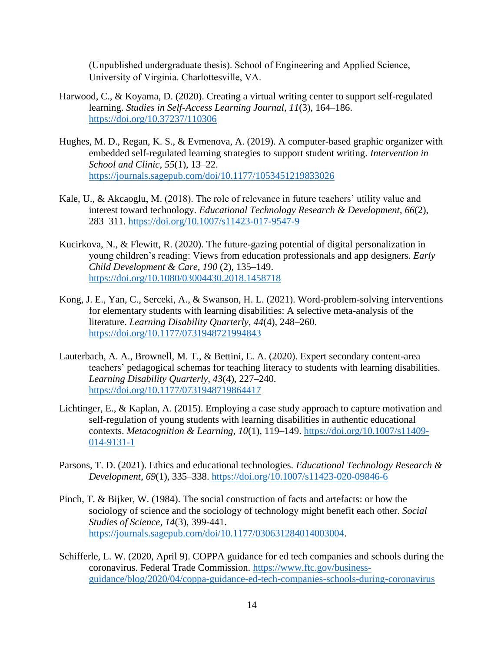(Unpublished undergraduate thesis). School of Engineering and Applied Science, University of Virginia. Charlottesville, VA.

- Harwood, C., & Koyama, D. (2020). Creating a virtual writing center to support self-regulated learning. *Studies in Self-Access Learning Journal, 11*(3), 164–186. <https://doi.org/10.37237/110306>
- Hughes, M. D., Regan, K. S., & Evmenova, A. (2019). A computer-based graphic organizer with embedded self-regulated learning strategies to support student writing. *Intervention in School and Clinic*, *55*(1), 13–22. <https://journals.sagepub.com/doi/10.1177/1053451219833026>
- Kale, U., & Akcaoglu, M. (2018). The role of relevance in future teachers' utility value and interest toward technology. *Educational Technology Research & Development*, *66*(2), 283–311.<https://doi.org/10.1007/s11423-017-9547-9>
- Kucirkova, N., & Flewitt, R. (2020). The future-gazing potential of digital personalization in young children's reading: Views from education professionals and app designers. *Early Child Development & Care, 190* (2), 135–149. <https://doi.org/10.1080/03004430.2018.1458718>
- Kong, J. E., Yan, C., Serceki, A., & Swanson, H. L. (2021). Word-problem-solving interventions for elementary students with learning disabilities: A selective meta-analysis of the literature. *Learning Disability Quarterly*, *44*(4), 248–260. <https://doi.org/10.1177/0731948721994843>
- Lauterbach, A. A., Brownell, M. T., & Bettini, E. A. (2020). Expert secondary content-area teachers' pedagogical schemas for teaching literacy to students with learning disabilities. *Learning Disability Quarterly, 43*(4), 227–240. <https://doi.org/10.1177/0731948719864417>
- Lichtinger, E., & Kaplan, A. (2015). Employing a case study approach to capture motivation and self-regulation of young students with learning disabilities in authentic educational contexts. *Metacognition & Learning, 10*(1), 119–149. [https://doi.org/10.1007/s11409-](https://doi.org/10.1007/s11409-014-9131-1) [014-9131-1](https://doi.org/10.1007/s11409-014-9131-1)
- Parsons, T. D. (2021). Ethics and educational technologies. *Educational Technology Research & Development*, *69*(1), 335–338.<https://doi.org/10.1007/s11423-020-09846-6>
- Pinch, T. & Bijker, W. (1984). The social construction of facts and artefacts: or how the sociology of science and the sociology of technology might benefit each other. *Social Studies of Science*, *14*(3), 399-441. [https://journals.sagepub.com/doi/10.1177/030631284014003004.](https://journals.sagepub.com/doi/10.1177/030631284014003004)
- Schifferle, L. W. (2020, April 9). COPPA guidance for ed tech companies and schools during the coronavirus. Federal Trade Commission. [https://www.ftc.gov/business](https://www.ftc.gov/business-guidance/blog/2020/04/coppa-guidance-ed-tech-companies-schools-during-coronavirus)[guidance/blog/2020/04/coppa-guidance-ed-tech-companies-schools-during-coronavirus](https://www.ftc.gov/business-guidance/blog/2020/04/coppa-guidance-ed-tech-companies-schools-during-coronavirus)